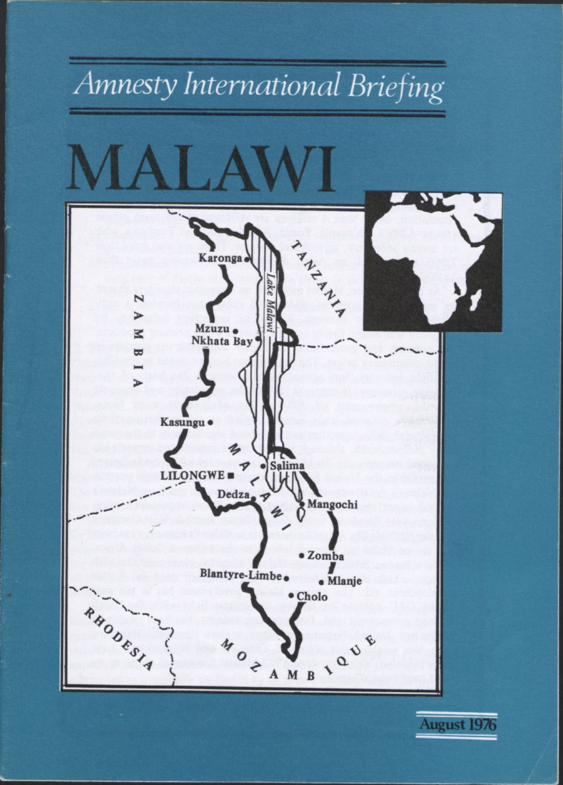

**August 1976**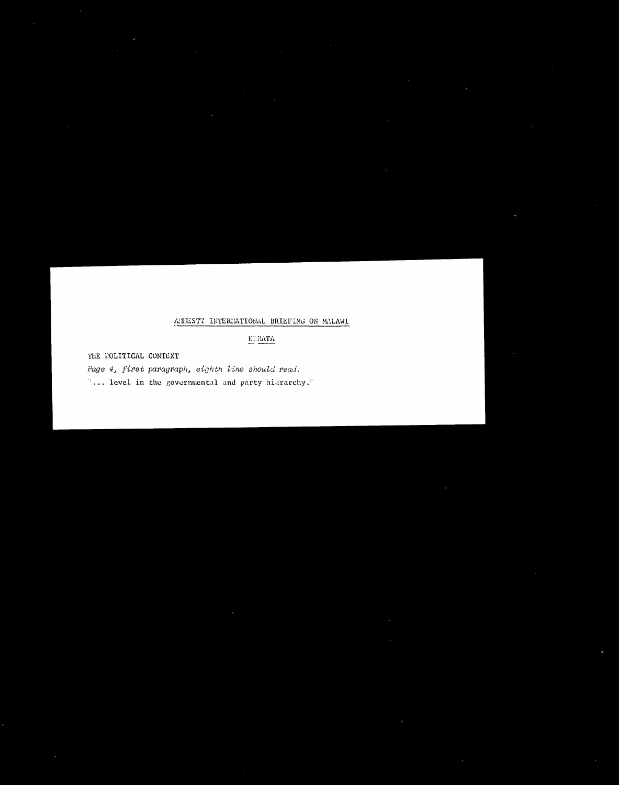### AMESTY INTERNATIONAL BRIEFING ON MALAWI

EURATA

THE FOLITICAL CONTEXT

Page 4, first paragraph, eighth line should read. "... level in the governmental and party hierarchy."

 $\mathbf{Q} = \mathbf{Q} \mathbf{Q}$  , where  $\mathbf{Q} = \mathbf{Q} \mathbf{Q}$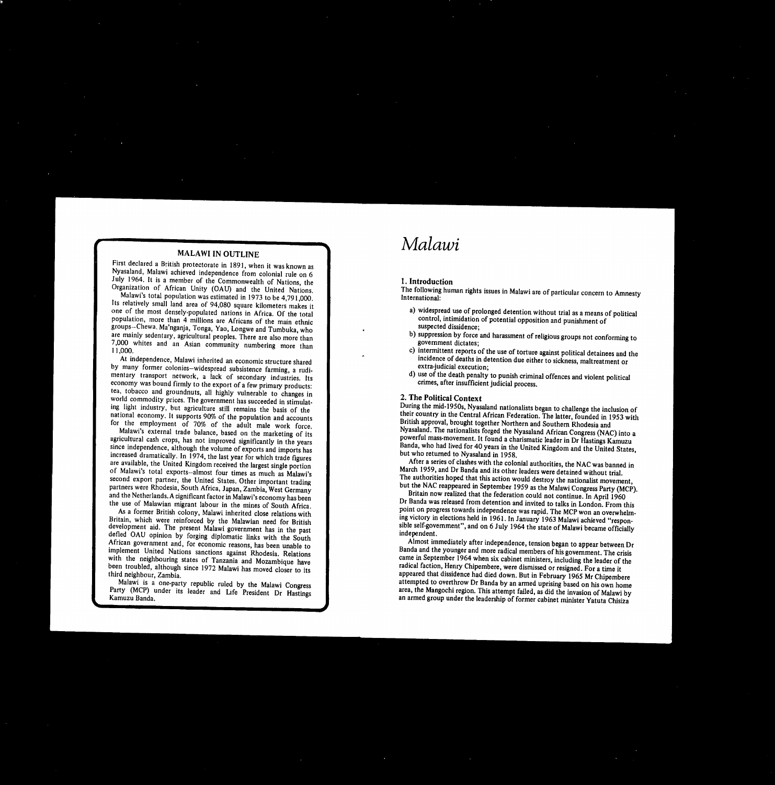First declared a British protectorate in 1891, when it was known as Nyasaland, Malawi achieved independence from colonial rule on 6 July 1964. It is a member of the Commonwealth of Nations, the Organization of African Unity (OAU) and the United Nations. Malawi's total population was estimated in 1973 to be 4,791,000. Its relatively small land area of 94,080 square kilometers makes it one of the most densely-populated nations in Africa. Of the total population, more than 4 millions are Africans of the main ethnic groups—Chewa. Ma'nganja, Tonga, Yao, Longwe and Tumbuka, who are mainly sedentary, agricultural peoples. There are also more than 7,000 whites and an Asian community numbering more than 11,000.

At independence, Malawi inherited an economic structure shared by many former colonies—widespread subsistence farming, a rudimentary transport network, a lack of secondary industries. Its economy was bound firmly to the export of a few primary products: tea, tobacco and groundnuts, all highly vulnerable to changes in world commodity prices. The government has succeeded in stimulating light industry, but agriculture still remains the basis of the national economy. It supports 90% of the population and accounts for the employment of 70% of the adult male work force. Malawi's external trade balance, based on the marketing of its agricultural cash crops, has not improved significantly in the years since independence, although the volume of exports and imports has increased dramatically. In 1974, the last year for which trade figures are available, the United Kingdom received the largest single portion of Malawi's total exports—almost four times as much as Malawi's second export partner, the United States. Other important trading partners were Rhodesia, South Africa, Japan, Zambia, West Germany and the Netherlands. A significant factor in Malawi's economy has been the use of Malawian migrant labour in the mines of South Africa. As a former British colony, Malawi inherited close relations with Britain, which were reinforced by the Malawian need for British development aid. The present Malawi government has in the past defied OAU opinion by forging diplomatic links with the South African government and, for economic reasons, has been unable to implement United Nations sanctions against Rhodesia. Relations with the neighbouring states of Tanzania and Mozambique have been troubled, although since 1972 Malawi has moved closer to its third neighbour, Zambia.

# MALAWI IN OUTLINE

Malawi is a one-party republic ruled by the Malawi Congress Party (MCP) under its leader and Life President Dr Hastings Kamuzu Banda.

### **1. Introduction**

The following human rights issues in Malawi are of particular concern to Amnesty International:

- widespread use of prolonged detention without trial as a means of political control, intimidation of potential opposition and punishment of suspected dissidence;
- b) suppression by force and harassment of religious groups not conforming to government dictates;
- c) intermittent reports of the use of torture against political detainees and the incidence of deaths in detention due either to sickness, maltreatment or extra-judicial execution;
- d) use of the death penalty to punish criminal offences and violent political crimes, after insufficient judicial process.

# 2. **The Political Context**

During the mid-1950s, Nyasaland nationalists began to challenge the inclusion of their country in the Central African Federation. The latter, founded in 1953 with British approval, brought together Northern and Southern Rhodesia and Nyasaland. The nationalists forged the Nyasaland African Congress (NAC) into a powerful mass-movement. It found a charismatic leader in Dr Hastings Kamuzu Banda, who had lived for 40 years in the United Kingdom and the United States, but who returned to Nyasaland in 1958.

After a series of clashes with the colonial authorities, the NAC was banned in March 1959, and Dr Banda and its other leaders were detained without trial. The authorities hoped that this action would destroy the nationalist movement, but the NAC reappeared in September 1959 as the Malawi Congress Party (MCP).

Britain now realized that the federation could not continue. In April 1960 Dr Banda was released from detention and invited to talks in London. From this point on progress towards independence was rapid. The MCP won an overwhelming victory in elections held in 1961. In January 1963 Malawi achieved "responsible self-government", and on 6 July 1964 the state of Malawi became officially independent.

Almost immediately after independence, tension began to appear between Dr Banda and the younger and more radical members of his government. The crisis came in September 1964 when six cabinet ministers, including the leader of the radical faction, Henry Chipembere, were dismissed or resigned. For a time it appeared that dissidence had died down. But in February 1965 Mr Chipembere attempted to overthrow Dr Banda by an armed uprising based on his own home area, the Mangochi region. This attempt failed, as did the invasion of Malawi by an armed group under the leadership of former cabinet minister Yatuta Chisiza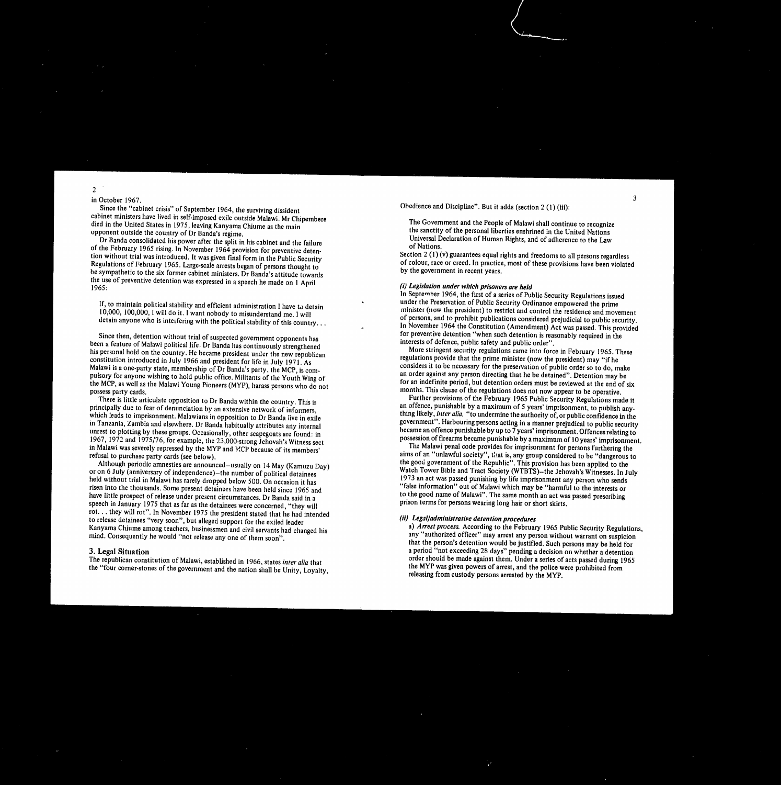in October 1967.

Since the "cabinet crisis" of September 1964, the surviving dissident cabinet ministers have lived in self-imposed exile outside Malawi. Mr Chipembere died in the United States in 1975, leaving Kanyama Chiume as the main opponent outside the country of Dr Banda's regime.

Dr Banda consolidated his power after the split in his cabinet and the failure of the February 1965 rising. In November 1964 provision for preventive detention without trial was introduced. It was given final form in the Public Security Regulations of February 1965. Large-scale arrests began of persons thought to be sympathetic to the six former cabinet ministers. Dr Banda's attitude towards the use of preventive detention was expressed in a speech he made on 1 April 1965:

3

Obedience and Discipline". But it adds (section 2 (1) (iii):

The Government and the People of Malawi shall continue to recognize the sanctity of the personal liberties enshrined in the United Nations Universal Declaration of Human Rights, and of adherence to the Law of Nations.

Section 2 (1) (v) guarantees equal rights and freedoms to all persons regardless of colour, race or creed. In practice, most of these provisions have been violated by the government in recent years.

•

 lf, to maintain political stability and efficient administration I have to detain 10,000, 100,000, I will do it. I want nobody to misunderstand me. I will detain anyone who is interfering with the political stability of this country...

Since then, detention without trial of suspected government opponents has been a feature of Malawi political life. Dr Banda has continuously strengthened his personal hold on the country. He became president under the new republican constitution introduced in July 1966 and president for life in July 1971. As Malawi is a one-party state, membership of Dr Banda's party, the MCP, is compulsory for anyone wishing to hold public office. Militants of the Youth Wing of the MCP, as well as the Malawi Young Pioneers (MYP), harass persons who do not possess party cards. There is little articulate opposition to Dr Banda within the country. This is principally due to fear of denunciation by an extensive network of informers, which leads to imprisonment. Malawians in opposition to Dr Banda live in exile in Tanzania, Zambia and elsewhere. Dr Banda habitually attributes any internal unrest to plotting by these groups. Occasionally, other scapegoats are found: in 1967, 1972 and 1975/76, for example, the 23,000-strong Jehovah's Witness sect in Malawi was severely repressed by the MYP and MCP because of its members' refusal to purchase party cards (see below). Although periodic amnesties are announced—usually on 14 May (Kamuzu Day) or on 6 July (anniversary of independence)—the number of political detainees held without trial in Malawi has rarely dropped below 500. On occasion it has risen into the thousands. Some present detainees have been held since 1965 and have little prospect of release under present circumstances. Dr Banda said in a speech in January 1975 that as far as the detainees were concerned, "they will rot... they will rot". In November 1975 the president stated that he had intended to release detainees "very soon", but alleged support for the exiled leader Kanyama Chiume among teachers, businessmen and civil servants had changed his mind. Consequently he would "not release any one of them soon".

### 3. Legal Situation

The republican constitution of Malawi, established in 1966, states inter alia that the "four corner-stones of the government and the nation shall be Unity, Loyalty,

### (ii) Legal/administrative detention procedures

### (i) Legislation under which prisoners are held

In September 1964, the first of a series of Public Security Regulations issued under the Preservation of Public Security Ordinance empowered the prime minister (now the president) to restrict and control the residence and movement of persons, and to prohibit publications considered prejudicial to public security. In November 1964 the Constitution (Amendment) Act was passed. This provided for preventive detention "when such detention is reasonably required in the interests of defence, public safety and public order".

More stringent security regulations came into force in February 1965. These regulations provide that the prime minister (now the president) may "if he considers it to be necessary for the preservation of public order so to do, make an order against any person directing that he be detained". Detention may be for an indefinite period, but detention orders must be reviewed at the end of six months. This clause of the regulations does not now appear to be operative. Further provisions of the February 1965 Public Security Regulations made it an offence, punishable by a maximum of 5 years' imprisonment, to publish anything likely, inter alia, "to undermine the authority of, or public confidence in the government". Harbouring persons acting in a manner prejudical to public security became an offence punishable by up to 7 years' imprisonment. Offences relating to possession of firearms became punishable by a maximum of 10 years' imprisonment. The Malawi penal code provides for imprisonment for persons furthering the aims of an "unlawful society", that is, any group considered to be "dangerous to the good government of the Republic". This provision has been applied to the Watch Tower Bible and Tract Society (WTBTS)—the Jehovah's Witnesses. In July 1973 an act was passed punishing by life imprisonment any person who sends "false information" out of Malawi which may be "harmful to the interests or to the good name of Malawi". The same month an act was passed prescribing prison terms for persons wearing long hair or short skirts.

*a)* Arrest *process.*According to the February 1965 Public Security Regulations, any "authorized officer" may arrest any person without warrant on suspicion that the person's detention would be justified. Such persons may be held for a period "not exceeding 28 days" pending a decision on whether a detention order should be made against them. Under a series of acts passed during 1965 the MYP was given powers of arrest, and the police were prohibited from releasing from custody persons arrested by the MYP.

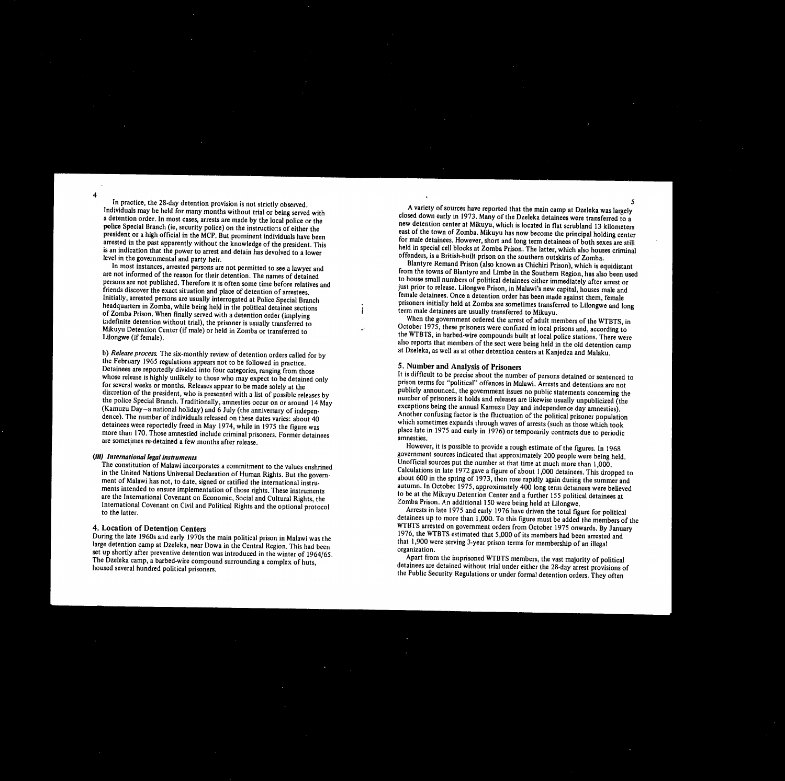In practice, the 28-day detention provision is not strictly observed. Individuals may be held for many months without trial or being served with a detention order. In most cases, arrests are made by the local police or the police Special Branch (ie, security police) on the instructions of either the president or a high official in the MCP. But prominent individuals have been arrested in the past apparently without the knowledge of the president. This is an indication that the power to arrest and detain has devolved to a lower level in the governmental and party heir.

In most instances, arrested persons are not permitted to see a lawyer and are not informed of the reason for their detention. The names of detained persons are not published. Therefore it is often some time before relatives and friends discover the exact situation and place of detention of arrestees. Initially, arrested persons are usually interrogated at Police Special Branch headquarters in Zomba, while being held in the political detainee sections of Zomba Prison. When finally served with a detention order (implying indefinite detention without trial), the prisoner is usually transferred to Mikuyu Detention Center (if male) or held in Zomba or transferred to Lilongwe (if female).

b) Release process. The six-monthly review of detention orders called for by the February 1965 regulations appears not to be followed in practice. Detainees are reportedly divided into four categories, ranging from those whose release is highly unlikely to those who may expect to be detained only for several weeks or months. Releases appear to be made solely at the discretion of the president, who is presented with a list of possible releases by the police Special Branch. Traditionally, amnesties occur on or around 14 May (Kamuzu Day—a national holiday) and 6 July (the anniversary of independence). The number of individuals released on these dates varies: about 40 detainees were reportedly freed in May 1974, while in 1975 the figure was more than 170. Those amnestied include criminal prisoners. Former detainees are sometimes re-detained a few months after release.

*(ill) International legal instruments* The constitution of Malawi incorporates a commitment to the values enshrined in the United Nations Universal Declaration of Human Rights. But the government of Malawi has not, to date, signed or ratified the international instruments intended to ensure implementation of those rights. These instruments are the International Covenant on Economic, Social and Cultural Rights, the International Covenant on Civil and Political Rights and the optional protocol to the latter.

**4. Location of Detention Centers** During the late 1960s and early 1970s the main political prison in Malawi was the large detention camp at Dzeleka, near Dowa in the Central Region. This had been set up shortly after preventive detention was introduced in the winter of 1964/65. The Dzeleka camp, a barbed-wire compound surrounding a complex of huts, housed several hundred political prisoners.

> A variety of sources have reported that the main camp at Dzeleka was largely closed down early in 1973. Many of the Dzeleka detainees were transferred to a new detention center at Mikuyu, which is located in flat scrubland 13 kilometers east of the town of Zomba. Mikuyu has now become the principal holding center for male detainees. However, short and long term detainees of both sexes are still held in special cell blocks at Zomba Prison. The latter, which also houses criminal offenders, is a British-built prison on the southern outskirts of Zomba.

> Blantyre Remand Prison (also known as Chichiri Prison), which is equidistant from the towns of Blantyre and Limbe in the Southern Region, has also been used to house small numbers of political detainees either immediately after arrest or just prior to release. Lilongwe Prison, in Malawi's new capital, houses male and female detainees. Once a detention order has been made against them, female prisoners initially held at Zomba are sometimes transferred to Lilongwe and long term male detainees are usually transferred to Mikuyu.

When the government ordered the arrest of adult members of the WTBTS, in October 1975, these prisoners were confined in local prisons and, according to the WTBTS, in barbed-wire compounds built at local police stations. There were also reports that members of the sect were being held in the old detention camp at Dzeleka, as well as at other detention centers at Kanjedza and Malaku.

# **5. Number and Analysis of Prisoners**

It is difficult to be precise about the number of persons detained or sentenced to prison terms for "political" offences in Malawi. Arrests and detentions are not publicly announced, the government issues no public statements concerning the number of prisoners it holds and releases are likewise usually unpublicized (the exceptions being the annual Kamuzu Day and independence day amnesties). Another confusing factor is the fluctuation of the political prisoner population which sometimes expands through waves of arrests (such as those which took <sup>p</sup>lace late in 1975 and early in 1976) or temporarily contracts due to periodic amnesties.

However, it is possible to provide a rough estimate of the figures. In 1968 government sources indicated that approximately 200 people were being held. Unofficial sources put the number at that time at much more than I,000. Calculations in late 1972 gave a figure of about 1,000 detainees. This dropped to about 600 in the spring of 1973, then rose rapidly again during the summer and autumn. In October 1975, approximately 400 long term detainees were believed to be at the Mikuyu Detention Center and a further 155 political detainees at Zomba Prison. An additional 150 were being held at Lilongwe.

Arrests in late 1975 and early 1976 have driven the total figure for political detainees up to more than 1,000. To this figure must be added the members of the WTBTS arrested on government orders from October 1975 onwards. By January 1976, the WTBTS estimated that 5,000 of its members had been arrested and that 1,900 were serving 3-year prison terms for membership of an illegal organization.

Apart from the imprisoned WTBTS members, the vast majority of political detainees are detained without trial under either the 28-day arrest provisions of the Public Security Regulations or under formal detention orders. They often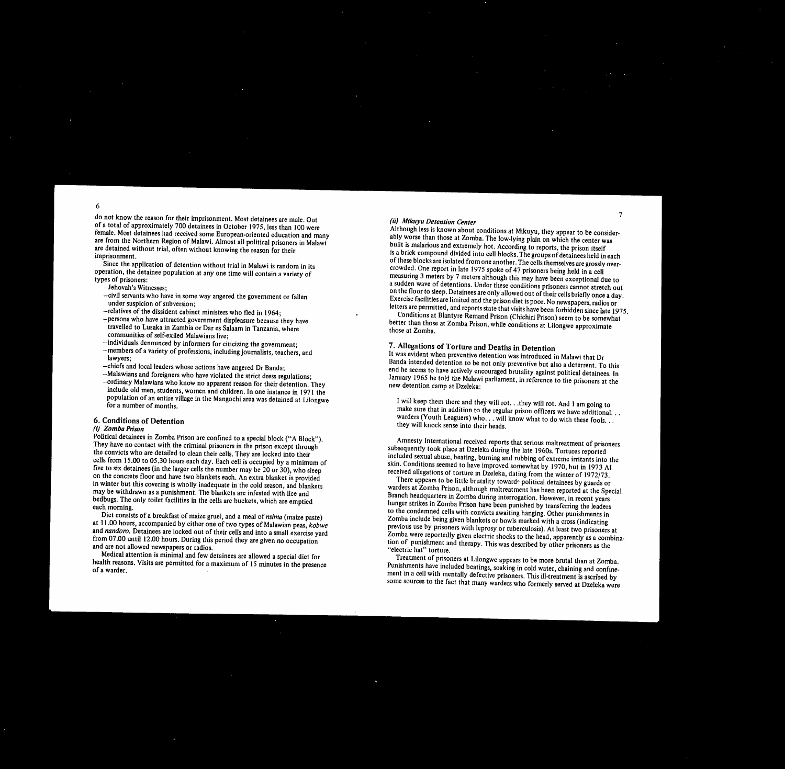6

do not know the reason for their imp of a total of approximately 700 detaineers female. Most detainees had received are from the Northern Region of Mala are detained without trial, often with imprisonment.

Since the application of detentior operation, the detainee population  $a$ types of prisoners:

- Jehovah's Witnesses;
- $-civil$  servants who have in some under suspicion of subversion; -relatives of the dissident cabinet  $-p$ ersons who have attracted gove travelled to Lusaka in Zambia o communities of self-exiled Malay
- $-$ individuals denounced by inforr -members of a variety of professi lawyers;
- -chiefs and local leaders whose ac  $-Malawians$  and foreigners who h -ordinary Malawians who know  $\prime$ include old men, students, wom population of an entire village in for a number of months.

# 7

, was evident when preventive detention was introduced in Malawi that  $Dr$ Banda intended detention to be not only preventive but also a deterrent. To this end he seems to have actively encouraged brutality against political detainees. In January 1965 he told the Malawi parliament, in reference to the prisoners at the new detention camp at Dzeleka:

### **(ii) Mikuyu***Detention Center*

Political detainees in Zomba Prison a They have no contact with the crimin the convicts who are detailed to clear cells from  $15.00$  to  $05.30$  hours each five to six detainees (in the larger cells on the concrete floor and have two b in winter but this covering is wholly may be withdrawn as a punishment. bedbugs. The only toilet facilities in each morning.

Although less is known about conditions at Mikuyu, they appear to be considerably worse than those at Zomba. The low-lying plain on which the center was built is malarious and extremely hot. According to reports, the prison itself is a brick compound divided into cell blocks. The groups of detainees held in each of these blocks are isolated from one another. The cells themselves are grossly overcrowded. One report in late 1975 spoke of 47 prisoners being held in a cell measuring 3 meters by 7 meters although this may have been exceptional due to a sudden wave of detentions. Under these conditions prisoners cannot stretch out on the floor to sleep. Detainees are only allowed out of their cells briefly once a day. Exercise facilities are limited and the prison diet is poor. No newspapers, radios or letters are permitted, and reports state that visits have been forbidden since late 1975. Conditions at Blantyre Remand Prison (Chichiri Prison) seem to be somewhat better than those at Zomba Prison, while conditions at Lilongwe approximate

hose at Zomba.

Diet consists of a breakfast of mai<sup>z</sup> at 11.00 hours, accompanied by either one of two types of Malawian peas, **kobwe** and *nandoro.*Detainees are locked out of their cells and into a small exercise yard from 07.00 until 12.00 hours. During this period they are given no occupation and are not allowed newspapers or radios.

# **7. Allegations of Torture and Deaths in Detention**

### **6. Conditions of Detention** *(i) Zornba Prison*

Medical attention is minimal and few detainees are allowed a special diet for health reasons. Visits are permitted for a maximum of 15 minutes in the presence of a warder.

| iprisonment. Most detainees are male. Out           |              |
|-----------------------------------------------------|--------------|
| ainees in October 1975, less than 100 were          | Λ            |
| some European-oriented education and many           | a            |
| alawi. Almost all political prisoners in Malawi     | $\mathbf b$  |
| thout knowing the reason for their                  | is           |
|                                                     | $\mathbf O$  |
| n without trial in Malawi is random in its          | $\mathbf c$  |
| at any one time will contain a variety of           | $\mathbf n$  |
|                                                     | a            |
|                                                     | $\mathbf O$  |
| way angered the government or fallen                | E            |
|                                                     | le           |
| t ministers who fled in 1964;                       |              |
| ernment displeasure because they have               | b            |
| or Dar es Salaam in Tanzania, where                 | $\mathbf{t}$ |
| awians live;                                        |              |
| mers for citicizing the government;                 | 7            |
| sions, including journalists, teachers, and         | It           |
|                                                     | B.           |
| ections have angered Dr Banda;                      | er           |
| nave violated the strict dress regulations;         | Ją           |
| no apparent reason for their detention. They        | $\mathbf{n}$ |
| nen and children. In one instance in 1971 the       |              |
| n the Mangochi area was detained at Lilongwe        |              |
|                                                     |              |
| are confined to a special block ("A Block").        |              |
| inal prisoners in the prison except through         | su           |
| in their cells. They are locked into their          | in           |
| h day. Each cell is occupied by a minimum of        | sk           |
| Its the number may be 20 or 30), who sleep          | re           |
| blankets each. An extra blanket is provided         |              |
| inadequate in the cold season, and blankets         | W.           |
| The blankets are infested with lice and             | Bı           |
| the cells are buckets, which are emptied            | hı           |
|                                                     | to           |
| ize gruel, and a meal of <i>nsima</i> (maize paste) | $Z\sigma$    |

I will keep them there and they will rot.. .they will rot. And I am going to make sure that in addition to the regular prison officers we have additional... warders (Youth Leaguers) who... will know what to do with these fools. .. they will knock sense into their heads.

Amnesty International received reports that serious maltreatment of prisoners ubsequently took place at Dzeleka during the late 1960s. Tortures reported included sexual abuse, beating, burning and nabbing of extreme irritants into the kin. Conditions seemed to have improved somewhat by 1970, but in 1973 AI eceived allegations of torture in Dzeleka, dating from the winter of 1972/73. There appears to be little brutality toward<sup>e</sup> political detainees by guards or warders at Zomba Prison, although maltreatment has been reported at the Special Branch headquarters in Zomba during interrogation. However, in recent years hunger strikes in Zomba Prison have been punished by transferring the leaders , the condemned cells with convicts awaiting hanging. Other punishments in Zomba include being given blankets or bowls marked with a cross (indicating previous use by prisoners with leprosy or tuberculosis). At least two prisoners at Zomba were reportedly given electric shocks to the head, apparently as a combination of punishment and therapy. This was described by other prisoners as the

"electric hat" torture.

Treatment of prisoners at Lilongwe appears to be more brutal than at Zomba. Punishments have included beatings, soaking in cold water, chaining and confinement in a cell with mentally defective prisoners. This ill-treatment is ascribed by some sources to the fact that many warders who formerly served at Dzeleka were

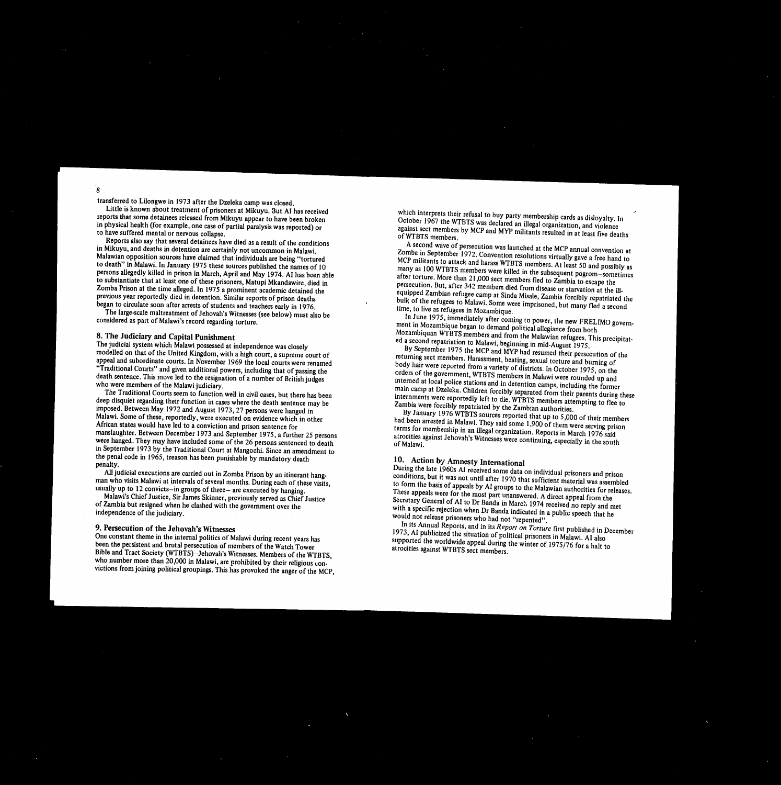transferred to Lilongwe in 1973 after the Dzeleka camp was closed.

Little is known about treatment of prisoners at Mikuyu. 3ut AI has received reports that some detainees released from Mikuyu appear to have been broken in physical health (for example, one case of partial paralysis was reported) or to have suffered mental or nervous collapse.

Reports also say that several detainees have died as a result of the conditions in Mikuyu, and deaths in detention are certainly not uncommon in Malawi. Malawian opposition sources have claimed that individuals are being "tortured to death" in Malawi. In January 1975 these sources published the names of 10 persons allegedly killed in prison in March, April and May 1974. AI has been able to substantiate that at least one of these prisoners, Matupi Mkandawire, died in Zomba Prison at the time alleged. In 1975 a prominent academic detained the previous year reportedly died in detention. Similar reports of prison deaths began to circulate soon after arrests of students and teachers early in 1976.

The large-scale maltreatment of Jehovah's Witnesses (see below) must also be considered as part of Malawi's record regarding torture.

# **8. The Judiciary and Capital Punishment**

The judicial system which Malawi possessed at independence was closely modelled on that of the United Kingdom, with a high court, a supreme court of appeal and subordinate courts. In November 1969 the local courts were renamed "Traditional Courts" and given additional powers, including that of passing the death sentence. This move led to the resignation of a number of British judges who were members of the Malawi judiciary.

The Traditional Courts seem to function well in civil cases, but there has been deep disquiet regarding their function in cases where the death sentence may be imposed. Between May 1972 and August 1973, 27 persons were hanged in Malawi. Some of these, reportedly, were executed on evidence which in other African states would have led to a conviction and prison sentence for manslaughter. Between December 1973 and September 1975, a further 25 persons were hanged. They may have included some of the 26 persons sentenced to death in September 1973 by the Traditional Court at Mangochi. Since an amendment to the penal code in 1965, treason has been punishable by mandatory death penalty.

In June 1975, immediately after coming to power, the new FRELIMO government in Mozambique began to demand political allegiance from both Mozambiquan WTBTS members and from the Malawian refugees. This precipitated a second repatriation to Malawi, beginning in mid-August 1975.

All judicial executions are carried out in Zomba Prison by an itinerant hangman who visits Malawi at intervals of several months. During each of these visits, usually up to 12 convicts—in groups of three— are executed by hanging.

Malawi's Chief Justice, Sir James Skinner, previously served as Chief Justice of Zambia but resigned when he clashed with the government over the independence of the judiciary.

# **9. Persecution of the Jehovah's Witnesses**

One constant theme in the internal politics of Malawi during recent years has been the persistent and brutal persecution of members of the Watch Tower Bible and Tract Society (WTBTS)—Jehovah's Witnesses. Members of the WTBTS, who number more than 20,000 in Malawi, are prohibited by their religious convictions from joining political groupings. This has provoked the anger of the MCP, which interprets their refusal to buy party membership cards as disloyalty. In October 1967 the WTBTS was declared an illegal organization, and violence against sect members by MCP and MYP militants resulted in at least five deaths of WTBTS members.

A second wave of persecution was launched at the MCP annual convention at Zomba in September 1972. Convention resolutions virtually gave a free hand to MCP militants to attack and harass WTBTS members. At least 50 and possibly as many as 100 WTBTS members were killed in the subsequent pogrom—sometimes after torture. More than 21,000 sect members fled to Zambia to escape the persecution. But, after 342 members died from disease or starvation at the illequipped Zambian refugee camp at Sinda Misale, Zambia forcibly repatriated the bulk of the refugees to Malawi. Some were imprisoned, but many fled a second time, to live as refugees in Mozambique.

By September 1975 the MCP and MYP had resumed their persecution of the returning sect members. Harassment, beating, sexual torture and burning of body hair were reported from a variety of districts. In October 1975, on the orders of the government, WTBTS members in Malawi were rounded up and interned at local police stations and in detention camps, including the former main camp at Dzeleka. Children forcibly separated from their parents during these internments were reportedly left to die. WTBTS members attempting to flee to Zambia were forcibly repatriated by the Zambian authorities. By January 1976 WTBTS sources reported that up to 5,000 of their members had been arrested in Malawi. They said some 1,900 of them were serving prison terms for membership in an illegal organization. Reports in March 1976 said atrocities against Jehovah's Witnesses were continuing, especially in the south of Malawi.

# **10. Action by Amnesty International**

During the late 1960s AI received some data on individual prisoners and prison conditions, but it was not until after 1970 that sufficient material was assembled to form the basis of appeals by Al groups to the Malawian authorities for releases. These appeals were for the most part unanswered. A direct appeal from the Secretary General of AI to Dr Banda in March 1974 received no reply and met with a specific rejection when Dr Banda indicated in a public speech that he would not release prisoners who had not "repented".

In its Annual Reports, and in its *Report on Torture* first published in December 1973, AI publicized the situation of political prisoners in Malawi. AI also supported the worldwide appeal during the winter of 1975/76 for a halt to atrocities against WTBTS sect members.